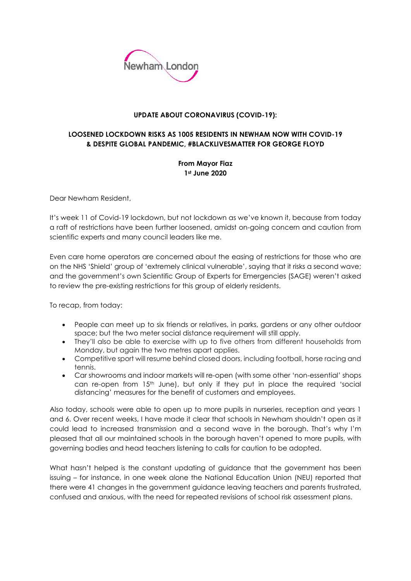

## **UPDATE ABOUT CORONAVIRUS (COVID-19):**

## **LOOSENED LOCKDOWN RISKS AS 1005 RESIDENTS IN NEWHAM NOW WITH COVID-19 & DESPITE GLOBAL PANDEMIC, #BLACKLIVESMATTER FOR GEORGE FLOYD**

## **From Mayor Fiaz 1st June 2020**

Dear Newham Resident,

It's week 11 of Covid-19 lockdown, but not lockdown as we've known it, because from today a raft of restrictions have been further loosened, amidst on-going concern and caution from scientific experts and many council leaders like me.

Even care home operators are concerned about the easing of restrictions for those who are on the NHS 'Shield' group of 'extremely clinical vulnerable', saying that it risks a second wave; and the government's own Scientific Group of Experts for Emergencies (SAGE) weren't asked to review the pre-existing restrictions for this group of elderly residents.

To recap, from today:

- People can meet up to six friends or relatives, in parks, gardens or any other outdoor space; but the two meter social distance requirement will still apply.
- They'll also be able to exercise with up to five others from different households from Monday, but again the two metres apart applies.
- Competitive sport will resume behind closed doors, including football, horse racing and tennis.
- Car showrooms and indoor markets will re-open (with some other 'non-essential' shops can re-open from 15th June), but only if they put in place the required 'social distancing' measures for the benefit of customers and employees.

Also today, schools were able to open up to more pupils in nurseries, reception and years 1 and 6. Over recent weeks, I have made it clear that schools in Newham shouldn't open as it could lead to increased transmission and a second wave in the borough. That's why I'm pleased that all our maintained schools in the borough haven't opened to more pupils, with governing bodies and head teachers listening to calls for caution to be adopted.

What hasn't helped is the constant updating of guidance that the government has been issuing – for instance, in one week alone the National Education Union (NEU) reported that there were 41 changes in the government guidance leaving teachers and parents frustrated, confused and anxious, with the need for repeated revisions of school risk assessment plans.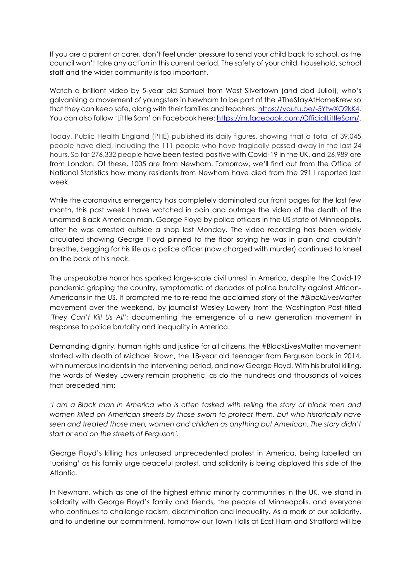If you are a parent or carer, don't feel under pressure to send your child back to school, as the council won't take any action in this current period. The safety of your child, household, school staff and the wider community is too important.

Watch a brilliant video by 5-year old Samuel from West Silvertown (and dad Julio!), who's galvanising a movement of youngsters in Newham to be part of the #TheStayAtHomeKrew so that they can keep safe, along with their families and teachers: [https://youtu.be/-5YtwXO2kK4.](https://youtu.be/-5YtwXO2kK4) You can also follow 'Little Sam' on Facebook here[: https://m.facebook.com/OfficialLittleSam/.](https://m.facebook.com/OfficialLittleSam/)

Today, Public Health England (PHE) published its daily figures, showing that a total of 39,045 people have died, including the 111 people who have tragically passed away in the last 24 hours. So far 276,332 people have been tested positive with Covid-19 in the UK, and 26,989 are from London. Of these, 1005 are from Newham. Tomorrow, we'll find out from the Office of National Statistics how many residents from Newham have died from the 291 I reported last week.

While the coronavirus emergency has completely dominated our front pages for the last few month, this past week I have watched in pain and outrage the video of the death of the unarmed Black American man, George Floyd by police officers in the US state of Minneapolis, after he was arrested outside a shop last Monday. The video recording has been widely circulated showing George Floyd pinned to the floor saying he was in pain and couldn't breathe, begging for his life as a police officer (now charged with murder) continued to kneel on the back of his neck.

The unspeakable horror has sparked large-scale civil unrest in America, despite the Covid-19 pandemic gripping the country, symptomatic of decades of police brutality against African-Americans in the US. It prompted me to re-read the acclaimed story of the *#BlackLivesMatter* movement over the weekend, by journalist Wesley Lowery from the Washington Post titled *'They Can't Kill Us All'*; documenting the emergence of a new generation movement in response to police brutality and inequality in America.

Demanding dignity, human rights and justice for all citizens, the #BlackLivesMatter movement started with death of Michael Brown, the 18-year old teenager from Ferguson back in 2014, with numerous incidents in the intervening period, and now George Floyd. With his brutal killing, the words of Wesley Lowery remain prophetic, as do the hundreds and thousands of voices that preceded him:

*'I am a Black man in America who is often tasked with telling the story of black men and women killed on American streets by those sworn to protect them, but who historically have seen and treated those men, women and children as anything but American. The story didn't start or end on the streets of Ferguson'.* 

George Floyd's killing has unleased unprecedented protest in America, being labelled an 'uprising' as his family urge peaceful protest, and solidarity is being displayed this side of the Atlantic.

In Newham, which as one of the highest ethnic minority communities in the UK, we stand in solidarity with George Floyd's family and friends, the people of Minneapolis, and everyone who continues to challenge racism, discrimination and inequality. As a mark of our solidarity, and to underline our commitment, tomorrow our Town Halls at East Ham and Stratford will be